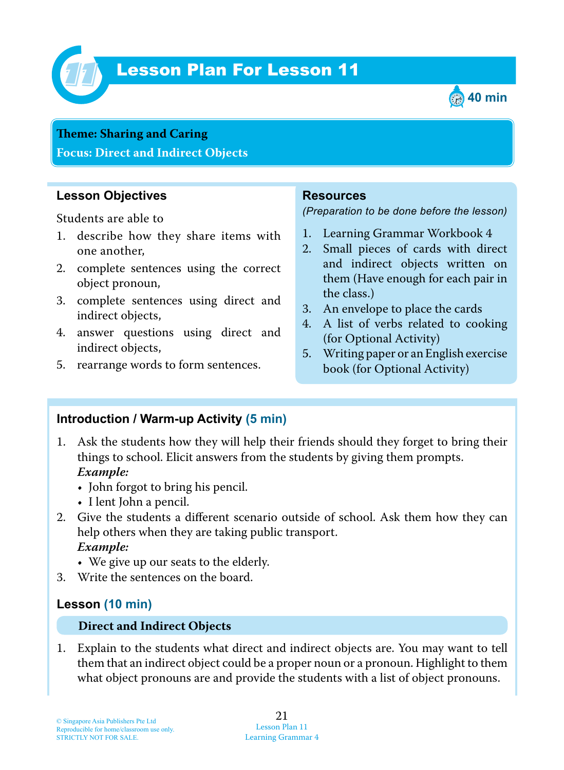

# Lesson Plan For Lesson 11 *11*



## **Teme : Sharing and Caring**

**Focus: Direct and Indirect Objects**

### **Lesson Objectives**

Students are able to

- 1. describe how they share items with one another,
- 2. complete sentences using the correct object pronoun,
- 3. complete sentences using direct and indirect objects,
- 4. answer questions using direct and indirect objects,
- 5. rearrange words to form sentences.

#### **Resources**

*(Preparation to be done before the lesson)*

- 1. Learning Grammar Workbook 4
- 2. Small pieces of cards with direct and indirect objects written on them (Have enough for each pair in the class.)
- 3. An envelope to place the cards
- 4. A list of verbs related to cooking (for Optional Activity)
- 5. Writing paper or an English exercise book (for Optional Activity)

### **Introduction / Warm-up Activity (5 min)**

- 1. Ask the students how they will help their friends should they forget to bring their things to school. Elicit answers from the students by giving them prompts.  *Example:*
	- John forgot to bring his pencil.
	- I lent John a pencil.
- 2. Give the students a different scenario outside of school. Ask them how they can help others when they are taking public transport.  *Example:*
	- We give up our seats to the elderly.
- 3. Write the sentences on the board.

### **Lesson (10 min)**

#### **Direct and Indirect Objects**

1. Explain to the students what direct and indirect objects are. You may want to tell them that an indirect object could be a proper noun or a pronoun. Highlight to them what object pronouns are and provide the students with a list of object pronouns.